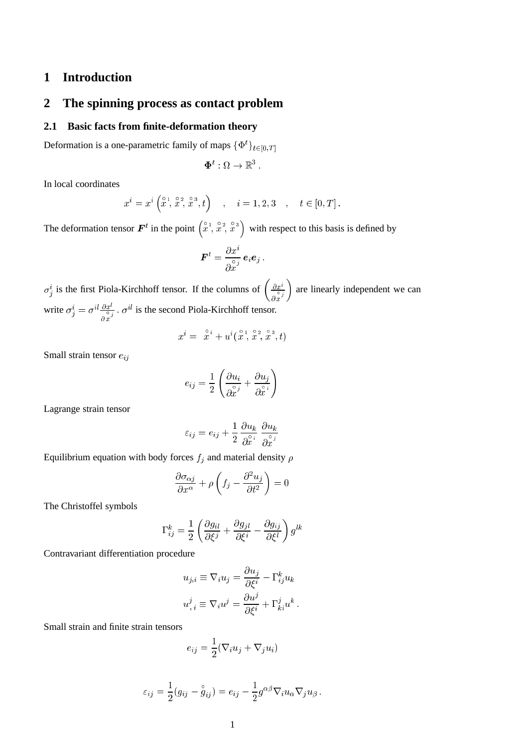# **1 Introduction**

# **2 The spinning process as contact problem**

# **2.1 Basic facts from finite-deformation theory**

Deformation is a one-parametric family of maps  $\{\Phi^t\}_{t\in[0,T]}$ 

$$
\boldsymbol{\Phi}^t: \Omega \to \mathbb{R}^3 \ .
$$

In local coordinates

$$
x^{i} = x^{i} \left(\overset{\circ}{x}, \overset{\circ}{x}, \overset{\circ}{x}, \overset{\circ}{x}^{3}, t\right)
$$
,  $i = 1, 2, 3$ ,  $t \in [0, T]$ .

The deformation tensor  $\mathbf{F}^t$  in the point  $\left(\begin{array}{c} \circ & 1 \\ x & x \end{array}, \begin{array}{c} \circ & 2 \\ x & y \end{array}, \begin{array}{c} \circ & 3 \\ x & y \end{array}\right)$ ) with respect to this basis is defined by

$$
\bm{F}^t = \frac{\partial x^i}{\partial \overset{\circ}{x}^j}\bm{e}_i\bm{e}_j~.
$$

 $\sigma_j^i$  is the first Piola-Kirchhoff tensor. If the columns of  $\left(\frac{\partial x^i}{\partial s_j}\right)$  $\partial x^J$  are linearly independent we can write  $\sigma_j^i = \sigma^{il} \frac{\partial x^i}{\partial x^j}$ .  $\sigma^{il}$  is the second Piola-Kirchhoff tensor.

$$
x^i = \; \stackrel{\circ}{x}^i + u^i(\stackrel{\circ}{x}, \stackrel{\circ}{x}, \stackrel{\circ}{x}, \stackrel{\circ}{x}, t)
$$

Small strain tensor  $e_{ij}$ 

$$
e_{ij} = \frac{1}{2} \left( \frac{\partial u_i}{\partial \overset{\circ}{x}^j} + \frac{\partial u_j}{\partial \overset{\circ}{x}^i} \right)
$$

Lagrange strain tensor

$$
\varepsilon_{ij} = e_{ij} + \frac{1}{2} \frac{\partial u_k}{\partial \hat{x}^i} \frac{\partial u_k}{\partial \hat{x}^j}
$$

Equilibrium equation with body forces  $f_j$  and material density  $\rho$ 

$$
\frac{\partial \sigma_{\alpha j}}{\partial x^{\alpha}} + \rho \left( f_j - \frac{\partial^2 u_j}{\partial t^2} \right) = 0
$$

The Christoffel symbols

$$
\Gamma_{ij}^k = \frac{1}{2} \left( \frac{\partial g_{il}}{\partial \xi^j} + \frac{\partial g_{jl}}{\partial \xi^i} - \frac{\partial g_{ij}}{\partial \xi^l} \right) g^{lk}
$$

Contravariant differentiation procedure

$$
u_{j,i} \equiv \nabla_i u_j = \frac{\partial u_j}{\partial \xi^i} - \Gamma^k_{ij} u_k
$$
  

$$
u^j_{\,i} \equiv \nabla_i u^j = \frac{\partial u^j}{\partial \xi^i} + \Gamma^j_{ki} u^k
$$

Small strain and finite strain tensors

$$
e_{ij} = \frac{1}{2} (\nabla_i u_j + \nabla_j u_i)
$$

$$
\varepsilon_{ij} = \frac{1}{2}(g_{ij} - \overset{\circ}{g}_{ij}) = e_{ij} - \frac{1}{2}g^{\alpha\beta}\nabla_i u_\alpha\nabla_j u_\beta.
$$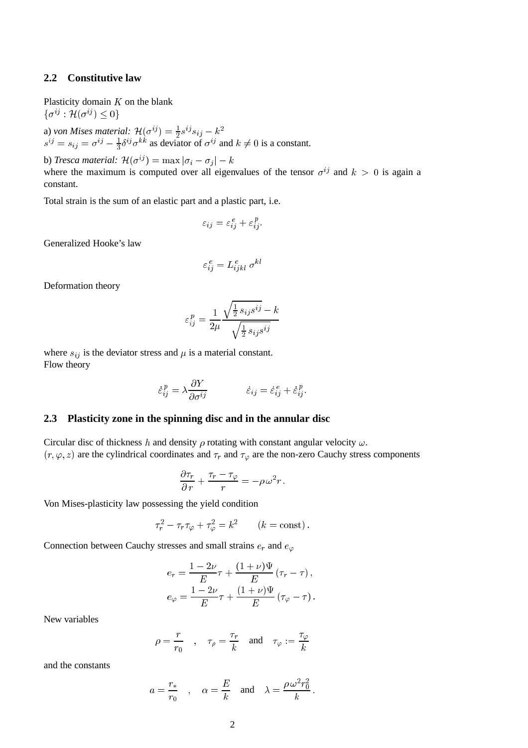#### **2.2 Constitutive law**

Plasticity domain  $K$  on the blank  $\{\sigma^{ij} : \mathcal{H}(\sigma^{ij}) \leq 0\}$ 

a) von Mises material:  $\mathcal{H}(\sigma^{ij}) = \frac{1}{2} s^{ij} s_{ij} - k^2$  $s^{ij} = s_{ij} = \sigma^{ij} - \frac{1}{3} \delta^{ij} \sigma^{kk}$  as deviator of  $\sigma^{ij}$  and  $k \neq 0$  is a constant.

b) *Tresca material:*  $\mathcal{H}(\sigma^{ij}) = \max |\sigma_i - \sigma_j| - k$ where the maximum is computed over all eigenvalues of the tensor  $\sigma^{ij}$  and  $k > 0$  is again a constant.

Total strain is the sum of an elastic part and a plastic part, i.e.

$$
\varepsilon_{ij} = \varepsilon_{ij}^e + \varepsilon_{ij}^p.
$$

Generalized Hooke's law

$$
\varepsilon_{ij}^{\,e}=L_{ijkl}^{\,e}\,\sigma^{kl}
$$

Deformation theory

$$
\varepsilon_{ij}^p = \frac{1}{2\mu}\frac{\sqrt{\frac{1}{2}\,s_{ij}s^{ij}}-k}{\sqrt{\frac{1}{2}\,s_{ij}s^{ij}}}
$$

where  $s_{ij}$  is the deviator stress and  $\mu$  is a material constant. Flow theory

$$
\dot{\varepsilon}_{ij}^p = \lambda \frac{\partial Y}{\partial \sigma^{ij}} \qquad \qquad \dot{\varepsilon}_{ij} = \dot{\varepsilon}_{ij}^e + \dot{\varepsilon}_{ij}^p.
$$

#### **2.3 Plasticity zone in the spinning disc and in the annular disc**

Circular disc of thickness h and density  $\rho$  rotating with constant angular velocity  $\omega$ .  $(r, \varphi, z)$  are the cylindrical coordinates and  $\tau_r$  and  $\tau_\varphi$  are the non-zero Cauchy stress components

$$
\frac{\partial \tau_r}{\partial r} + \frac{\tau_r - \tau_\varphi}{r} = -\rho \omega^2 r.
$$

Von Mises-plasticity law possessing the yield condition

$$
\tau_r^2 - \tau_r \tau_\varphi + \tau_\varphi^2 = k^2 \qquad (k = \text{const}).
$$

Connection between Cauchy stresses and small strains  $e_r$  and  $e_{\varphi}$ 

$$
e_r = \frac{1 - 2\nu}{E} \tau + \frac{(1 + \nu)\Psi}{E} (\tau_r - \tau),
$$
  

$$
e_{\varphi} = \frac{1 - 2\nu}{E} \tau + \frac{(1 + \nu)\Psi}{E} (\tau_{\varphi} - \tau).
$$

New variables

$$
\rho = \frac{r}{r_0} \quad , \quad \tau_\rho = \frac{\tau_r}{k} \quad \text{and} \quad \tau_\varphi := \frac{\tau_\varphi}{k}
$$

and the constants

$$
a = \frac{r_*}{r_0}
$$
,  $\alpha = \frac{E}{k}$  and  $\lambda = \frac{\rho \omega^2 r_0^2}{k}$ .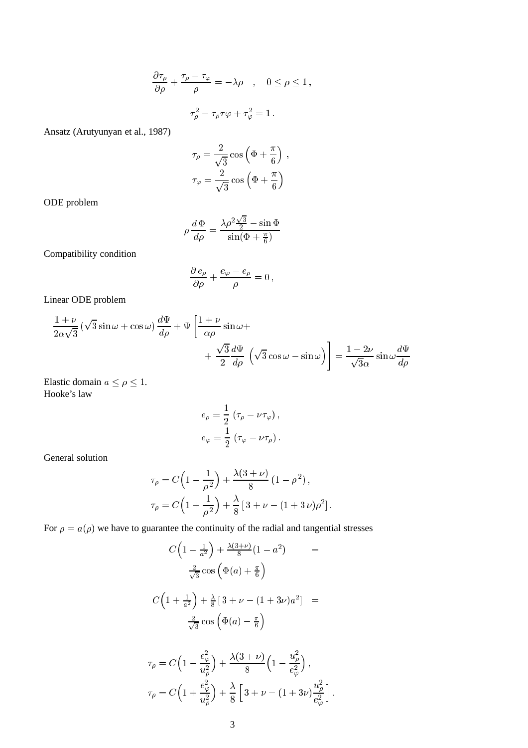$$
\frac{\partial \tau_{\rho}}{\partial \rho} + \frac{\tau_{\rho} - \tau_{\varphi}}{\rho} = -\lambda \rho \quad , \quad 0 \le \rho \le 1,
$$
  

$$
\tau_{\rho}^2 - \tau_{\rho} \tau \varphi + \tau_{\varphi}^2 = 1.
$$

Ansatz (Arutyunyan et al., 1987)

$$
\tau_{\rho} = \frac{2}{\sqrt{3}} \cos \left(\Phi + \frac{\pi}{6}\right) ,
$$

$$
\tau_{\varphi} = \frac{2}{\sqrt{3}} \cos \left(\Phi + \frac{\pi}{6}\right)
$$

ODE problem

$$
\rho \frac{d\Phi}{d\rho} = \frac{\lambda \rho^2 \frac{\sqrt{3}}{2} - \sin \Phi}{\sin(\Phi + \frac{\pi}{6})}
$$

Compatibility condition

$$
\frac{\partial e_{\rho}}{\partial \rho} + \frac{e_{\varphi} - e_{\rho}}{\rho} = 0,
$$

Linear ODE problem

$$
\frac{1+\nu}{2\alpha\sqrt{3}}\left(\sqrt{3}\sin\omega+\cos\omega\right)\frac{d\Psi}{d\rho}+\Psi\left[\frac{1+\nu}{\alpha\rho}\sin\omega+\frac{\sqrt{3}}{2}\frac{d\Psi}{d\rho}\left(\sqrt{3}\cos\omega-\sin\omega\right)\right]=\frac{1-2\nu}{\sqrt{3}\alpha}\sin\omega\frac{d\Psi}{d\rho}
$$

Elastic domain  $a \le \rho \le 1$ . Hooke's law

$$
\begin{split} e_{\rho} &= \frac{1}{2} \left( \tau_{\rho} - \nu \tau_{\varphi} \right), \\ e_{\varphi} &= \frac{1}{2} \left( \tau_{\varphi} - \nu \tau_{\rho} \right). \end{split}
$$

General solution

$$
\tau_{\rho} = C \left( 1 - \frac{1}{\rho^2} \right) + \frac{\lambda (3 + \nu)}{8} \left( 1 - \rho^2 \right),
$$
  

$$
\tau_{\rho} = C \left( 1 + \frac{1}{\rho^2} \right) + \frac{\lambda}{8} \left[ 3 + \nu - (1 + 3 \nu) \rho^2 \right].
$$

For  $\rho = a(\rho)$  we have to guarantee the continuity of the radial and tangential stresses

$$
C\left(1-\frac{1}{a^2}\right) + \frac{\lambda(3+\nu)}{8}(1-a^2) =
$$
  

$$
\frac{2}{\sqrt{3}}\cos\left(\Phi(a) + \frac{\pi}{6}\right)
$$
  

$$
C\left(1+\frac{1}{a^2}\right) + \frac{\lambda}{8}\left[3+\nu - (1+3\nu)a^2\right] =
$$
  

$$
\frac{2}{\sqrt{3}}\cos\left(\Phi(a) - \frac{\pi}{6}\right)
$$
  

$$
\tau_\rho = C\left(1-\frac{e_\varphi^2}{u_\rho^2}\right) + \frac{\lambda(3+\nu)}{8}\left(1-\frac{u_\rho^2}{e_\varphi^2}\right),
$$
  

$$
\tau_\rho = C\left(1+\frac{e_\varphi^2}{u_\rho^2}\right) + \frac{\lambda}{8}\left[3+\nu - (1+3\nu)\frac{u_\rho^2}{e_\varphi^2}\right].
$$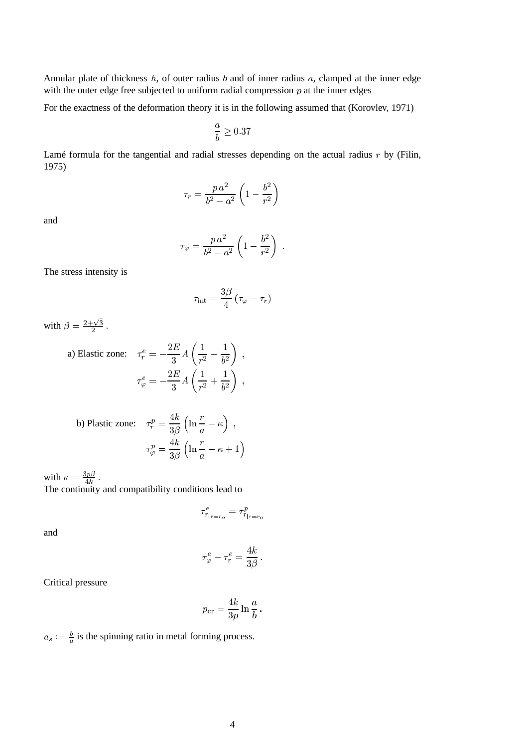Annular plate of thickness  $h$ , of outer radius  $b$  and of inner radius  $a$ , clamped at the inner edge with the outer edge free subjected to uniform radial compression  $p$  at the inner edges

For the exactness of the deformation theory it is in the following assumed that (Korovlev, 1971)

$$
\frac{a}{b} \geq 0.37
$$

Lamé formula for the tangential and radial stresses depending on the actual radius  $r$  by (Filin, 1975)

$$
\tau_r = \frac{p a^2}{b^2 - a^2} \left( 1 - \frac{b^2}{r^2} \right)
$$

and

$$
\tau_{\varphi}=\frac{p\,a^2}{b^2-a^2}\left(1-\frac{b^2}{r^2}\right)
$$

The stress intensity is

$$
\tau_{\rm int} = \frac{3\beta}{4}\left(\tau_{\varphi} - \tau_r\right)
$$

with  $\beta = \frac{2+\sqrt{3}}{2}$ <sup>2</sup> :

a) Elastic zone: 
$$
\tau_r^e = -\frac{2E}{3} A \left( \frac{1}{r^2} - \frac{1}{b^2} \right)
$$
,  

$$
\tau_\varphi^e = -\frac{2E}{3} A \left( \frac{1}{r^2} + \frac{1}{b^2} \right)
$$
,

b) Plastic zone: 
$$
\tau_r^p = \frac{4k}{3\beta} \left( \ln \frac{r}{a} - \kappa \right)
$$
,  

$$
\tau_\varphi^p = \frac{4k}{3\beta} \left( \ln \frac{r}{a} - \kappa + 1 \right)
$$

with  $\kappa = \frac{3p\beta}{4k}$ .<br>The continuity and compatibility conditions lead to

 $\tau_{r_{|r=r_o}}^e = \tau_{r_{|r=r_o}}^p$ 

and

$$
\tau^e_\varphi-\tau^e_r=\frac{4k}{3\beta}
$$

Critical pressure

 $p_{\rm cr} =$ 4k  $rac{\ldots}{3p} \ln \frac{\ldots}{b}$  $b^-$ 

 $a_s := \frac{b}{a}$  is the spinning ratio in metal forming process.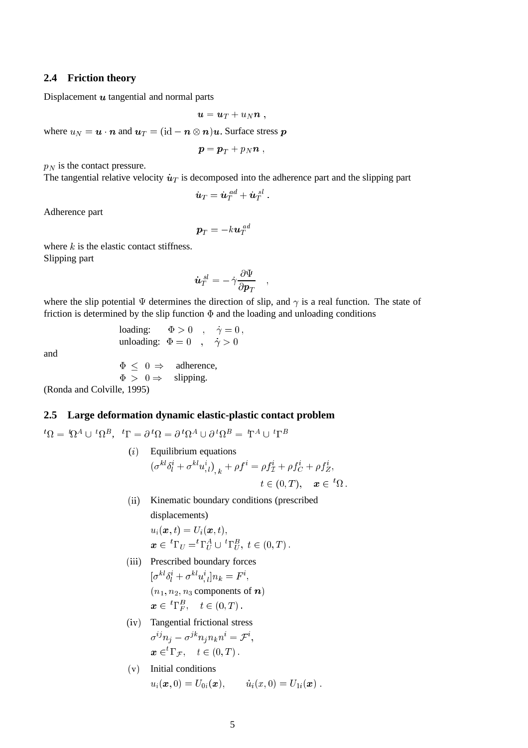#### **2.4 Friction theory**

Displacement  $u$  tangential and normal parts

$$
\boldsymbol{u} = \boldsymbol{u}_T + u_N \boldsymbol{n} ,
$$

where  $u_N = \mathbf{u} \cdot \mathbf{n}$  and  $\mathbf{u}_T = (\mathrm{id} - \mathbf{n} \otimes \mathbf{n})\mathbf{u}$ . Surface stress  $\mathbf{p}$ 

$$
\boldsymbol{p} = \boldsymbol{p}_T + p_N \boldsymbol{n} \;,
$$

 $p_N$  is the contact pressure.

The tangential relative velocity  $\dot{u}_T$  is decomposed into the adherence part and the slipping part

$$
\dot{\boldsymbol{u}}_T=\dot{\boldsymbol{u}}_T^{\phantom{A}ad}+\dot{\boldsymbol{u}}_T^{\phantom{A}sl}\ .
$$

Adherence part

$$
\bm{p}_T=-k\bm{u}_T^{\phantom{A}ad}
$$

where  $k$  is the elastic contact stiffness. Slipping part

$$
\dot{\boldsymbol{u}}_{T}^{~sl}=-\,\dot{\gamma}\frac{\partial\Psi}{\partial{\boldsymbol{p}}_{T}}
$$

where the slip potential  $\Psi$  determines the direction of slip, and  $\gamma$  is a real function. The state of friction is determined by the slip function  $\Phi$  and the loading and unloading conditions

> loading:  $\Phi > 0$ ,  $\dot{\gamma} = 0$ , unloading:  $\Phi = 0$ ,  $\dot{\gamma} > 0$

and

$$
\Phi \leq 0 \Rightarrow \text{ adherence,}
$$
  
\n
$$
\Phi > 0 \Rightarrow \text{slipping.}
$$

(Ronda and Colville, 1995)

#### **2.5 Large deformation dynamic elastic-plastic contact problem**

 ${}^t\Omega = \, {}^t\!\Omega^A \cup \, {}^t\!\Omega^B, \ \ {}^t\Gamma = \partial \, {}^t\!\Omega = \partial \, {}^t\!\Omega^A \cup \partial \, {}^t\!\Omega^B = \, \mathop{\mathrm{T}}\nolimits^A \cup \, {}^t\Gamma^B$ 

- $(i)$  Equilibrium equations  $(\sigma^{kl} \delta^i_l + \sigma^{kl} u^i_{,l})_{,\ k} + \rho f^i = \rho f^i_{\mathcal{I}} + \rho f^i_C + \rho f^i_Z,$  $t \in (0, T), \quad \boldsymbol{x} \in {}^{t}\Omega$ .
- (ii) Kinematic boundary conditions (prescribed displacements)  $u_i(\boldsymbol{x}, t) = U_i(\boldsymbol{x}, t),$  $\boldsymbol{x} \in \,^t \Gamma_U = ^t\Gamma_U^A \cup \,^t \Gamma_U^B, \,\, t \in (0,T) \,.$
- (iii) Prescribed boundary forces  $[\sigma^{kl} \delta^i_l + \sigma^{kl} u^i_{,l} ] n_k = F^i,$  $(n_1, n_2, n_3$  components of n)  $\boldsymbol{x} \in \,^t\Gamma^B_F, \quad t \in (0,T)\,.$
- (iv) Tangential frictional stress  $\sigma^{ij}n_j-\sigma^{jk}n_jn_kn^i=\mathcal{F}^i,$  $\boldsymbol{x} \in {}^{t}\Gamma_{\mathcal{F}}, \quad t \in (0,T)$ .
- (v) Initial conditions  $u_i(\bm{x}, 0) = U_{0i}(\bm{x}), \qquad \dot{u}_i(x, 0) = U_{1i}(\bm{x}) \; .$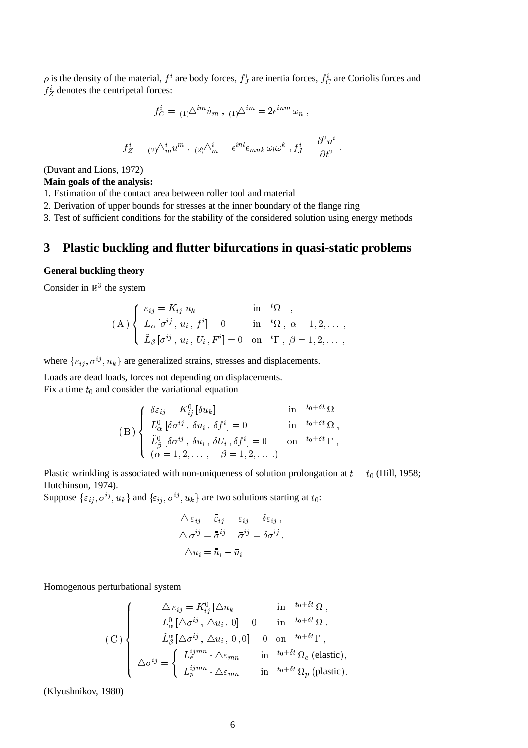$\rho$  is the density of the material,  $f^i$  are body forces,  $f^i_J$  are inertia forces,  $f^i_C$  are Coriolis forces and  $f_Z^i$  denotes the centripetal forces:

$$
f_C^i = {}_{(1)}\Delta^{im}u_m \ , \ {}_{(1)}\Delta^{im} = 2\epsilon^{inm}\omega_n \ ,
$$

$$
f_Z^i = {}_{(2)}\Delta_m^i u^m , {}_{(2)}\Delta_m^i = \epsilon^{inl} \epsilon_{mnk} \omega_l \omega^k , f_J^i = \frac{\partial^2 u^i}{\partial t^2}
$$

(Duvant and Lions, 1972)

#### **Main goals of the analysis:**

1. Estimation of the contact area between roller tool and material

2. Derivation of upper bounds for stresses at the inner boundary of the flange ring

3. Test of sufficient conditions for the stability of the considered solution using energy methods

# **3 Plastic buckling and flutter bifurcations in quasi-static problems**

### **General buckling theory**

Consider in  $\mathbb{R}^3$  the system

$$
(A) \begin{cases} \varepsilon_{ij} = K_{ij}[u_k] & \text{in} \quad {}^t\Omega, \\ L_\alpha[\sigma^{ij}, u_i, f^i] = 0 & \text{in} \quad {}^t\Omega, \alpha = 1, 2, \dots, \\ \tilde{L}_\beta[\sigma^{ij}, u_i, U_i, F^i] = 0 & \text{on} \quad {}^t\Gamma, \beta = 1, 2, \dots, \end{cases}
$$

where  $\{\varepsilon_{ij}, \sigma^{ij}, u_k\}$  are generalized strains, stresses and displacements.

Loads are dead loads, forces not depending on displacements.

Fix a time  $t_0$  and consider the variational equation

$$
(B) \begin{cases} \n\delta \varepsilon_{ij} = K_{ij}^0 [\delta u_k] & \text{in} \quad t_0 + \delta t \Omega \\ \nL_{\alpha}^0 [\delta \sigma^{ij}, \delta u_i, \delta f^i] = 0 & \text{in} \quad t_0 + \delta t \Omega \\ \n\tilde{L}_{\beta}^0 [\delta \sigma^{ij}, \delta u_i, \delta U_i, \delta f^i] = 0 & \text{on} \quad t_0 + \delta t \Gamma \\ \n(\alpha = 1, 2, \dots, \beta = 1, 2, \dots) & \n\end{cases}
$$

Plastic wrinkling is associated with non-uniqueness of solution prolongation at  $t = t_0$  (Hill, 1958; Hutchinson, 1974).

Suppose  $\{\bar{\varepsilon}_{ij}, \bar{\sigma}^{ij}, \bar{u}_k\}$  and  $\{\bar{\varepsilon}_{ij}, \bar{\sigma}^{ij}, \bar{\bar{u}}_k\}$  are two solutions starting at  $t_0$ :

$$
\Delta \varepsilon_{ij} = \bar{\varepsilon}_{ij} - \bar{\varepsilon}_{ij} = \delta \varepsilon_{ij} ,
$$
  
\n
$$
\Delta \sigma^{ij} = \bar{\sigma}^{ij} - \bar{\sigma}^{ij} = \delta \sigma^{ij} ,
$$
  
\n
$$
\Delta u_i = \bar{u}_i - \bar{u}_i
$$

Homogenous perturbational system

$$
\begin{pmatrix}\n\Delta \varepsilon_{ij} = K_{ij}^{0} [\Delta u_{k}] & \text{in} & t_{0} + \delta t_{i} \Omega, \\
L_{\alpha}^{0} [\Delta \sigma^{ij}, \Delta u_{i}, 0] = 0 & \text{in} & t_{0} + \delta t_{i} \Omega, \\
\tilde{L}_{\beta}^{a} [\Delta \sigma^{ij}, \Delta u_{i}, 0, 0] = 0 & \text{on} & t_{0} + \delta t_{i} \Gamma, \\
\Delta \sigma^{ij} = \begin{cases}\nL_{e}^{ijmn} \cdot \Delta \varepsilon_{mn} & \text{in} & t_{0} + \delta t_{i} \Omega_{e} \text{ (elastic)}, \\
L_{p}^{ijmn} \cdot \Delta \varepsilon_{mn} & \text{in} & t_{0} + \delta t_{i} \Omega_{p} \text{ (plastic)}.\n\end{cases}
$$

(Klyushnikov, 1980)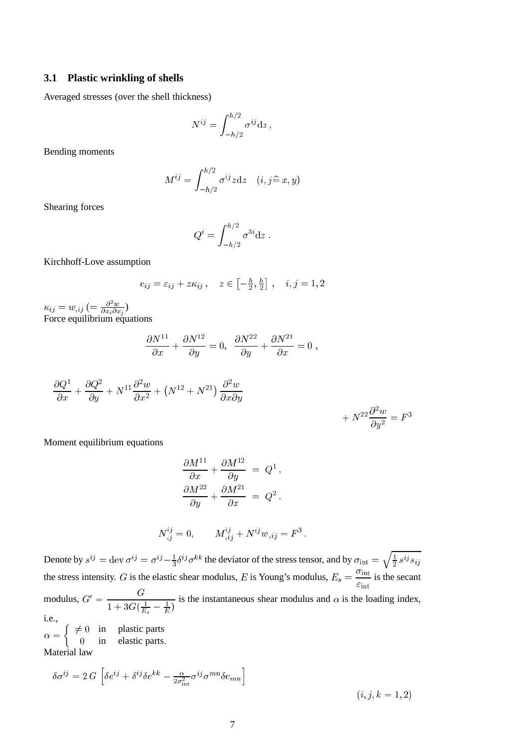#### **3.1 Plastic wrinkling of shells**

Averaged stresses (over the shell thickness)

$$
N^{ij} = \int_{-h/2}^{h/2} \sigma^{ij} \mathrm{d}z \,,
$$

Bending moments

$$
M^{ij} = \int_{-h/2}^{h/2} \sigma^{ij} z \mathrm{d} z \quad (i, j \hat{=} x, y)
$$

Shearing forces

$$
Q^i = \int_{-h/2}^{h/2} \sigma^{3i} \mathrm{d}z \, .
$$

Kirchhoff-Love assumption

$$
e_{ij} = \varepsilon_{ij} + z\kappa_{ij}, \quad z \in \left[-\frac{h}{2}, \frac{h}{2}\right], \quad i, j = 1, 2
$$

 $\kappa_{ij} = w_{,ij} \ ( = {{\partial^2 w}\over{\partial x_i \partial x_j}})$ Force equilibrium equations

$$
\frac{\partial N^{11}}{\partial x} + \frac{\partial N^{12}}{\partial y} = 0, \ \ \frac{\partial N^{22}}{\partial y} + \frac{\partial N^{21}}{\partial x} = 0 \ ,
$$

$$
\frac{\partial Q^1}{\partial x} + \frac{\partial Q^2}{\partial y} + N^{11} \frac{\partial^2 w}{\partial x^2} + (N^{12} + N^{21}) \frac{\partial^2 w}{\partial x \partial y} + N^{22} \frac{\partial^2 w}{\partial y^2} = F^3
$$

Moment equilibrium equations

$$
\frac{\partial M^{11}}{\partial x} + \frac{\partial M^{12}}{\partial y} = Q^1,
$$
  

$$
\frac{\partial M^{22}}{\partial y} + \frac{\partial M^{21}}{\partial x} = Q^2.
$$

$$
N^{ij}_{\ ,j}=0,\qquad M^{ij}_{\ ,ij}+N^{ij}w_{\ ,ij}=F^3\,.
$$

Denote by  $s^{ij} = \text{dev } \sigma^{ij} = \sigma^{ij} - \frac{1}{3} \delta^{ij} \sigma^{kk}$  the deviator of the stress tensor, and by  $\sigma_{\text{int}} = \sqrt{\frac{1}{n} \sigma^{ij} \sigma^{kk}}$  $\frac{1}{2} s^{ij} s_{ij}$ the stress intensity. G is the elastic shear modulus, E is Young's modulus,  $E_s = \frac{3.0 \text{ m}}{2}$  $rac{\text{m}}{\epsilon_{\text{int}}}$  is the secant modulus,  $G' = \frac{G}{1 + 3G(\frac{1}{E_s} - \frac{1}{E})}$ is the instantaneous shear modulus and  $\alpha$  is the loading index, i.e.,

 $\alpha =$  $\int \neq 0$  in plastic parts <sup>0</sup> in elastic parts: Material law

$$
\delta \sigma^{ij} = 2\,G\,\left[\delta e^{ij} + \delta^{ij} \delta e^{kk} - \frac{\alpha}{2\sigma_{\rm int}^2} \sigma^{ij} \sigma^{mn} \delta e_{mn}\right]
$$

 $(i, j, k = 1, 2)$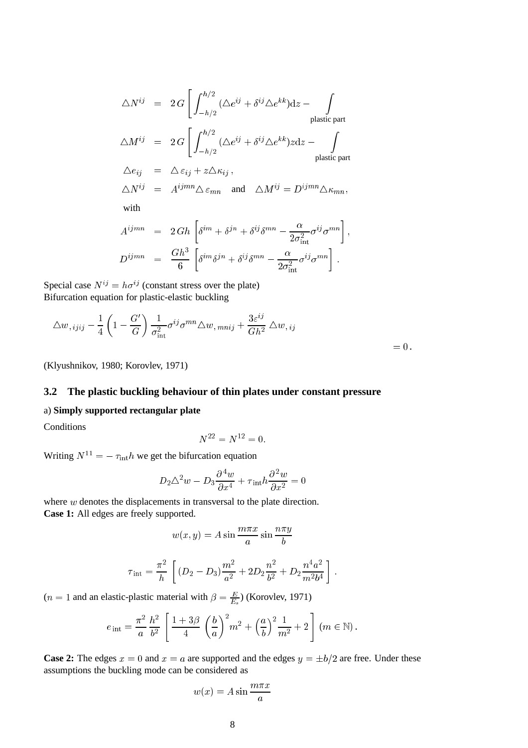$$
\Delta N^{ij} = 2 G \left[ \int_{-h/2}^{h/2} (\Delta e^{ij} + \delta^{ij} \Delta e^{kk}) dz - \int_{\text{plastic part}} \Delta M^{ij} = 2 G \left[ \int_{-h/2}^{h/2} (\Delta e^{ij} + \delta^{ij} \Delta e^{kk}) z dz - \int_{\text{plastic part}} \Delta e_{ij} = \Delta \varepsilon_{ij} + z \Delta \kappa_{ij},
$$
\n
$$
\Delta N^{ij} = A^{ijmn} \Delta \varepsilon_{mn} \text{ and } \Delta M^{ij} = D^{ijmn} \Delta \kappa_{mn},
$$
\nwith\n
$$
A^{ijmn} = 2 G h \left[ \delta^{im} + \delta^{jn} + \delta^{ij} \delta^{mn} - \frac{\alpha}{2 \sigma_{\text{int}}^2} \sigma^{ij} \sigma^{mn} \right],
$$
\n
$$
D^{ijmn} = \frac{G h^3}{6} \left[ \delta^{im} \delta^{jn} + \delta^{ij} \delta^{mn} - \frac{\alpha}{2 \sigma_{\text{int}}^2} \sigma^{ij} \sigma^{mn} \right].
$$

Special case  $N^{ij} = h\sigma^{ij}$  (constant stress over the plate) Bifurcation equation for plastic-elastic buckling

$$
\Delta w_{,ijij} - \frac{1}{4} \left( 1 - \frac{G'}{G} \right) \frac{1}{\sigma_{\text{int}}^2} \sigma^{ij} \sigma^{mn} \Delta w_{,mnij} + \frac{3\varepsilon^{ij}}{Gh^2} \Delta w_{,ij} = 0.
$$

(Klyushnikov, 1980; Korovlev, 1971)

## **3.2 The plastic buckling behaviour of thin plates under constant pressure**

#### a) **Simply supported rectangular plate**

**Conditions** 

$$
N^{22} = N^{12} = 0.
$$

Writing  $N^{11} = -\tau_{\text{int}}h$  we get the bifurcation equation

$$
D_2 \triangle^2 w - D_3 \frac{\partial^4 w}{\partial x^4} + \tau_{\text{int}} h \frac{\partial^2 w}{\partial x^2} = 0
$$

where w denotes the displacements in transversal to the plate direction. **Case 1:** All edges are freely supported.

$$
w(x, y) = A \sin \frac{m\pi x}{a} \sin \frac{n\pi y}{b}
$$

$$
\tau_{\rm int} = \frac{\pi^2}{h} \left[ (D_2 - D_3) \frac{m^2}{a^2} + 2D_2 \frac{n^2}{b^2} + D_2 \frac{n^4 a^2}{m^2 b^4} \right].
$$

(*n* = 1 and an elastic-plastic material with  $\beta = \frac{E}{E_s}$ ) (Korovlev, 1971)

$$
e_{\text{ int}} = \frac{\pi^2}{a} \frac{h^2}{b^2} \left[ \frac{1+3\beta}{4} \left( \frac{b}{a} \right)^2 m^2 + \left( \frac{a}{b} \right)^2 \frac{1}{m^2} + 2 \right] (m \in \mathbb{N}).
$$

**Case 2:** The edges  $x = 0$  and  $x = a$  are supported and the edges  $y = \pm b/2$  are free. Under these assumptions the buckling mode can be considered as

$$
w(x) = A \sin \frac{m\pi x}{a}
$$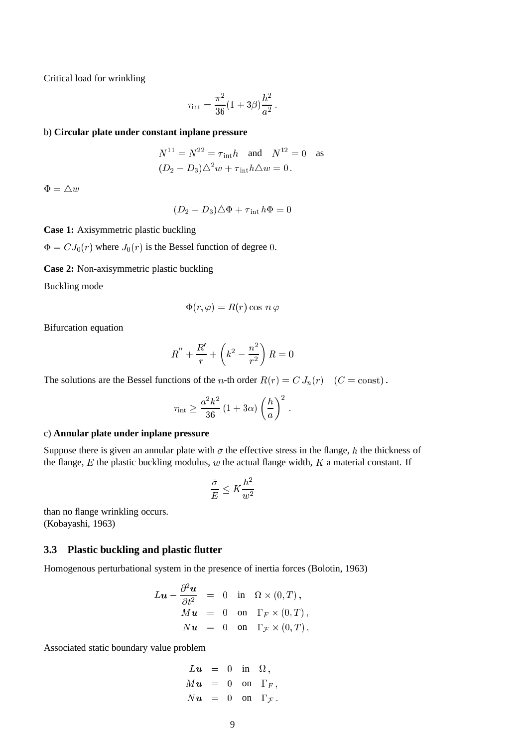Critical load for wrinkling

$$
\tau_{\rm int} = \frac{\pi^2}{36} (1 + 3\beta) \frac{h^2}{a^2} \,.
$$

#### b) **Circular plate under constant inplane pressure**

$$
N^{11} = N^{22} = \tau_{\text{int}}h \quad \text{and} \quad N^{12} = 0 \quad \text{as}
$$

$$
(D_2 - D_3)\triangle^2 w + \tau_{\text{int}}h\triangle w = 0.
$$

 $\Phi = \triangle w$ 

$$
(D_2 - D_3)\triangle \Phi + \tau_{\text{int}}\,h\Phi = 0
$$

**Case 1:** Axisymmetric plastic buckling

 $\Phi = C J_0(r)$  where  $J_0(r)$  is the Bessel function of degree 0.

**Case 2:** Non-axisymmetric plastic buckling

Buckling mode

$$
\Phi(r,\varphi)=R(r)\cos\,n\,\varphi
$$

Bifurcation equation

$$
R'' + \frac{R'}{r} + \left(k^2 - \frac{n^2}{r^2}\right)R = 0
$$

The solutions are the Bessel functions of the *n*-th order  $R(r) = C J_n(r)$  ( $C = \text{const}$ ).

$$
\tau_{\rm int} \geq \frac{a^2 k^2}{36} \left(1 + 3\alpha\right) \left(\frac{h}{a}\right)^2.
$$

#### c) **Annular plate under inplane pressure**

Suppose there is given an annular plate with  $\bar{\sigma}$  the effective stress in the flange, h the thickness of the flange,  $E$  the plastic buckling modulus,  $w$  the actual flange width,  $K$  a material constant. If

$$
\frac{\bar{\sigma}}{E} \le K \frac{h^2}{w^2}
$$

than no flange wrinkling occurs. (Kobayashi, 1963)

### **3.3 Plastic buckling and plastic flutter**

Homogenous perturbational system in the presence of inertia forces (Bolotin, 1963)

$$
L\mathbf{u} - \frac{\partial^2 \mathbf{u}}{\partial t^2} = 0 \text{ in } \Omega \times (0, T),
$$
  
\n
$$
M\mathbf{u} = 0 \text{ on } \Gamma_F \times (0, T),
$$
  
\n
$$
N\mathbf{u} = 0 \text{ on } \Gamma_F \times (0, T),
$$

Associated static boundary value problem

$$
Lu = 0 \text{ in } \Omega,
$$
  
\n
$$
Mu = 0 \text{ on } \Gamma_F,
$$
  
\n
$$
Nu = 0 \text{ on } \Gamma_{\mathcal{F}}.
$$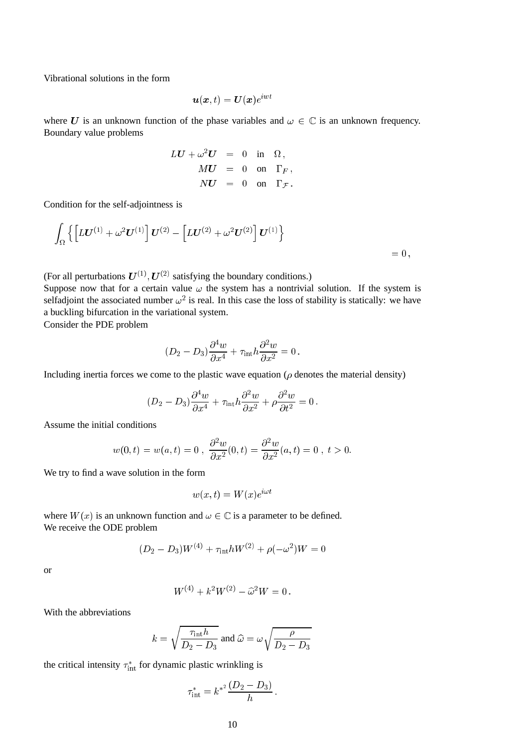Vibrational solutions in the form

$$
\bm{u}(\bm{x},t)=\bm{U}(\bm{x})e^{i\bm{w}t}
$$

where U is an unknown function of the phase variables and  $\omega \in \mathbb{C}$  is an unknown frequency. Boundary value problems

$$
LU + \omega^2 U = 0 \text{ in } \Omega,
$$
  
\n
$$
MU = 0 \text{ on } \Gamma_F,
$$
  
\n
$$
NU = 0 \text{ on } \Gamma_{\mathcal{F}}.
$$

Condition for the self-adjointness is

$$
\int_{\Omega}\left\{\left[L\bm{U}^{(1)}+\omega^2\bm{U}^{(1)}\right]\bm{U}^{(2)}-\left[L\bm{U}^{(2)}+\omega^2\bm{U}^{(2)}\right]\bm{U}^{(1)}\right\} = 0,
$$

(For all perturbations  $U^{(1)}$ ,  $U^{(2)}$  satisfying the boundary conditions.)

Suppose now that for a certain value  $\omega$  the system has a nontrivial solution. If the system is selfadjoint the associated number  $\omega^2$  is real. In this case the loss of stability is statically: we have a buckling bifurcation in the variational system.

Consider the PDE problem

$$
(D_2-D_3)\frac{\partial^4 w}{\partial x^4}+\tau_{\rm int} h \frac{\partial^2 w}{\partial x^2}=0\,.
$$

Including inertia forces we come to the plastic wave equation ( $\rho$  denotes the material density)

$$
(D_2 - D_3)\frac{\partial^4 w}{\partial x^4} + \tau_{\rm int} h \frac{\partial^2 w}{\partial x^2} + \rho \frac{\partial^2 w}{\partial t^2} = 0.
$$

Assume the initial conditions

$$
w(0, t) = w(a, t) = 0
$$
,  $\frac{\partial^2 w}{\partial x^2}(0, t) = \frac{\partial^2 w}{\partial x^2}(a, t) = 0$ ,  $t > 0$ .

We try to find a wave solution in the form

$$
w(x,t) = W(x)e^{i\omega t}
$$

where  $W(x)$  is an unknown function and  $\omega \in \mathbb{C}$  is a parameter to be defined. We receive the ODE problem

$$
(D_2 - D_3)W^{(4)} + \tau_{\rm int}hW^{(2)} + \rho(-\omega^2)W = 0
$$

or

$$
W^{(4)} + k^2 W^{(2)} - \hat{\omega}^2 W = 0.
$$

With the abbreviations

$$
k = \sqrt{\frac{\tau_{\text{int}} h}{D_2 - D_3}}
$$
 and  $\hat{\omega} = \omega \sqrt{\frac{\rho}{D_2 - D_3}}$ 

the critical intensity  $\tau_{\text{int}}^*$  for dynamic plastic wrinkling is

$$
\tau_{\text{int}}^* = k^{*^2} \frac{(D_2 - D_3)}{h}
$$